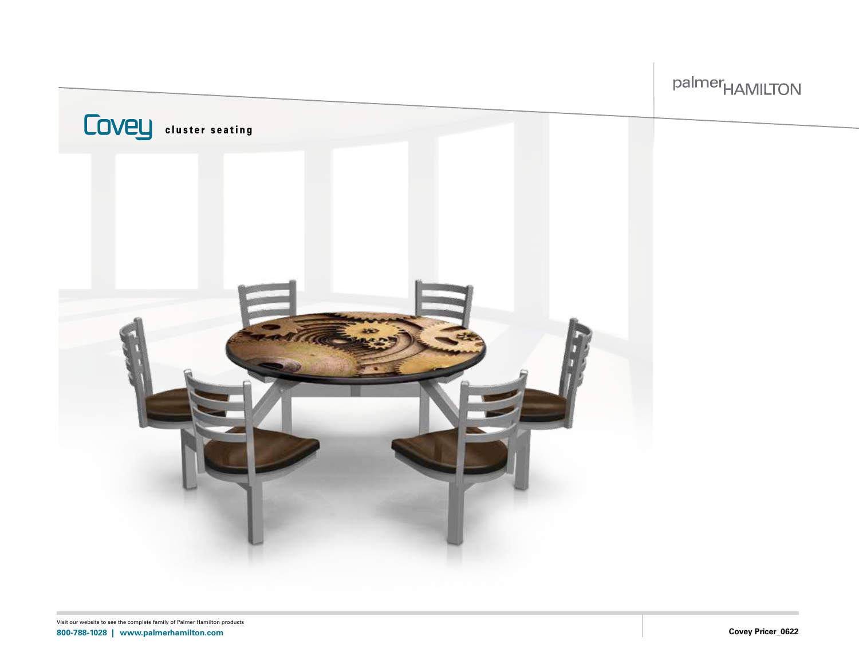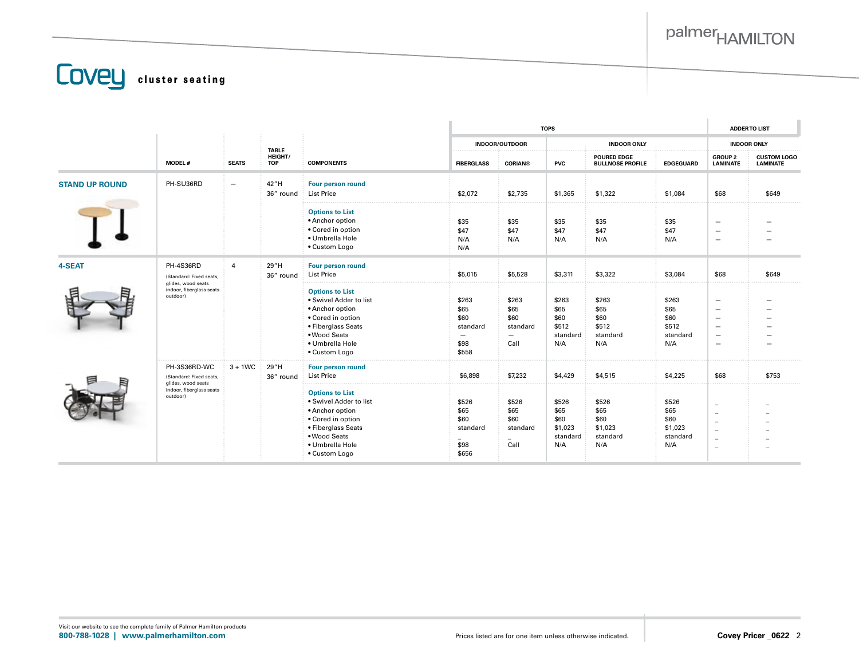**COVEL** cluster seating

|                       |                                                                                                       |                          |                                       | <b>COMPONENTS</b>                                                                                                                                                  |                                                    | <b>TOPS</b>                                                           |                                                     |                                                     |                                                     |                                                                                                                                          | <b>ADDERTO LIST</b>                   |  |
|-----------------------|-------------------------------------------------------------------------------------------------------|--------------------------|---------------------------------------|--------------------------------------------------------------------------------------------------------------------------------------------------------------------|----------------------------------------------------|-----------------------------------------------------------------------|-----------------------------------------------------|-----------------------------------------------------|-----------------------------------------------------|------------------------------------------------------------------------------------------------------------------------------------------|---------------------------------------|--|
|                       |                                                                                                       |                          |                                       |                                                                                                                                                                    | <b>INDOOR/OUTDOOR</b>                              |                                                                       | <b>INDOOR ONLY</b>                                  |                                                     |                                                     | <b>INDOOR ONLY</b>                                                                                                                       |                                       |  |
|                       | <b>MODEL#</b>                                                                                         | <b>SEATS</b>             | <b>TABLE</b><br>HEIGHT/<br><b>TOP</b> |                                                                                                                                                                    | <b>FIBERGLASS</b>                                  | <b>CORIAN®</b>                                                        | <b>PVC</b>                                          | <b>POURED EDGE</b><br><b>BULLNOSE PROFILE</b>       | <b>EDGEGUARD</b>                                    | <b>GROUP 2</b><br><b>LAMINATE</b>                                                                                                        | <b>CUSTOM LOGO</b><br><b>LAMINATE</b> |  |
| <b>STAND UP ROUND</b> | PH-SU36RD                                                                                             | $\overline{\phantom{m}}$ | 42"H<br>36" round                     | Four person round<br>List Price                                                                                                                                    | \$2,072                                            | \$2,735                                                               | \$1,365                                             | \$1,322                                             | \$1,084                                             | \$68                                                                                                                                     | \$649                                 |  |
|                       |                                                                                                       |                          |                                       | <b>Options to List</b><br>• Anchor option<br>• Cored in option<br>· Umbrella Hole<br>• Custom Logo                                                                 | \$35<br>\$47<br>N/A<br>N/A                         | \$35<br>\$47<br>N/A                                                   | \$35<br>\$47<br>N/A                                 | \$35<br>\$47<br>N/A                                 | \$35<br>\$47<br>N/A                                 | $\overline{\phantom{0}}$<br>$\overline{\phantom{m}}$<br>$\overline{\phantom{m}}$                                                         |                                       |  |
| 4-SEAT                | PH-4S36RD<br>(Standard: Fixed seats,<br>glides, wood seats<br>indoor, fiberglass seats<br>outdoor)    | $\overline{4}$           | 29"H<br>36" round                     | Four person round<br><b>List Price</b>                                                                                                                             | \$5,015                                            | \$5,528                                                               | \$3,311                                             | \$3,322                                             | \$3,084                                             | \$68                                                                                                                                     | \$649                                 |  |
|                       |                                                                                                       |                          |                                       | <b>Options to List</b><br>. Swivel Adder to list<br>• Anchor option<br>• Cored in option<br>• Fiberglass Seats<br>• Wood Seats<br>· Umbrella Hole<br>• Custom Logo | \$263<br>\$65<br>\$60<br>standard<br>\$98<br>\$558 | \$263<br>\$65<br>\$60<br>standard<br>$\overline{\phantom{m}}$<br>Call | \$263<br>\$65<br>\$60<br>\$512<br>standard<br>N/A   | \$263<br>\$65<br>\$60<br>\$512<br>standard<br>N/A   | \$263<br>\$65<br>\$60<br>\$512<br>standard<br>N/A   | $\overline{\phantom{0}}$<br>$\overline{\phantom{m}}$<br>$\overline{\phantom{0}}$<br>$\overline{\phantom{0}}$<br>$\overline{\phantom{0}}$ |                                       |  |
|                       | PH-3S36RD-WC<br>(Standard: Fixed seats,<br>glides, wood seats<br>indoor, fiberglass seats<br>outdoor) | $3 + 1WC$                | 29"H<br>36" round                     | Four person round<br><b>List Price</b>                                                                                                                             | \$6,898                                            | \$7,232                                                               | \$4,429                                             | \$4,515                                             | \$4,225                                             | \$68                                                                                                                                     | \$753                                 |  |
|                       |                                                                                                       |                          |                                       | <b>Options to List</b><br>. Swivel Adder to list<br>• Anchor option<br>• Cored in option<br>• Fiberglass Seats<br>• Wood Seats<br>· Umbrella Hole<br>• Custom Logo | \$526<br>\$65<br>\$60<br>standard<br>\$98<br>\$656 | \$526<br>\$65<br>\$60<br>standard<br>Call                             | \$526<br>\$65<br>\$60<br>\$1,023<br>standard<br>N/A | \$526<br>\$65<br>\$60<br>\$1,023<br>standard<br>N/A | \$526<br>\$65<br>\$60<br>\$1,023<br>standard<br>N/A | $\overline{\phantom{0}}$<br>$\overline{\phantom{0}}$<br>$\overline{\phantom{0}}$<br>$\equiv$<br>$\overline{\phantom{m}}$<br>$\equiv$     |                                       |  |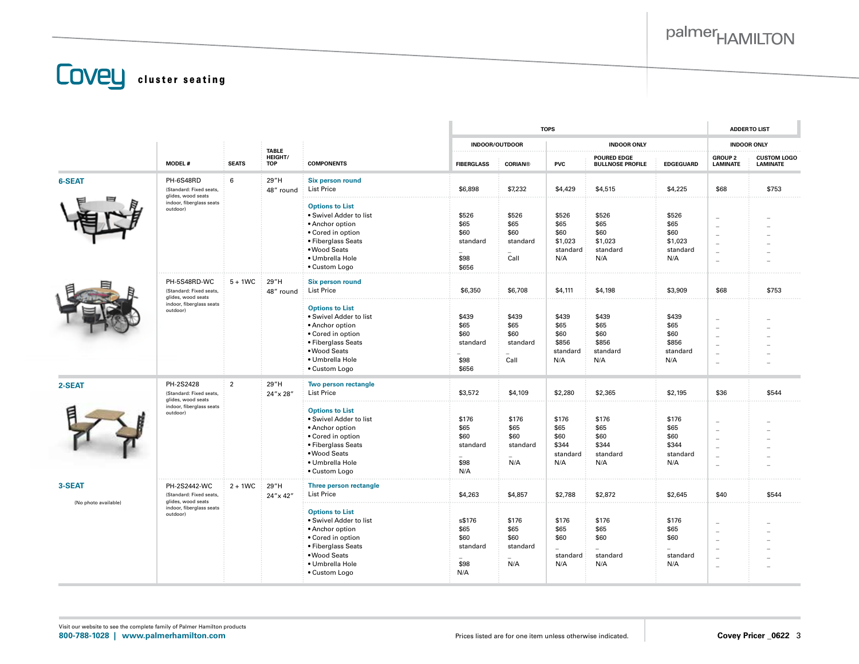**COVEL** cluster seating

|                      |                                                               |                | <b>TABLE</b><br>HEIGHT/<br><b>TOP</b> | <b>COMPONENTS</b>                                                                                                                                                  |                                                    | <b>TOPS</b>                               |                                                     |                                                     |                                                     |                                                                                                                    | <b>ADDERTO LIST</b>                   |  |
|----------------------|---------------------------------------------------------------|----------------|---------------------------------------|--------------------------------------------------------------------------------------------------------------------------------------------------------------------|----------------------------------------------------|-------------------------------------------|-----------------------------------------------------|-----------------------------------------------------|-----------------------------------------------------|--------------------------------------------------------------------------------------------------------------------|---------------------------------------|--|
|                      |                                                               |                |                                       |                                                                                                                                                                    | <b>INDOOR/OUTDOOR</b>                              |                                           | <b>INDOOR ONLY</b>                                  |                                                     |                                                     | <b>INDOOR ONLY</b>                                                                                                 |                                       |  |
|                      | <b>MODEL#</b>                                                 | <b>SEATS</b>   |                                       |                                                                                                                                                                    | <b>FIBERGLASS</b>                                  | <b>CORIAN®</b>                            | <b>PVC</b>                                          | <b>POURED EDGE</b><br><b>BULLNOSE PROFILE</b>       | <b>EDGEGUARD</b>                                    | <b>GROUP 2</b><br><b>LAMINATE</b>                                                                                  | <b>CUSTOM LOGO</b><br><b>LAMINATE</b> |  |
| 6-SEAT               | PH-6S48RD<br>(Standard: Fixed seats,<br>glides, wood seats    | 6              | 29"H<br>48" round                     | <b>Six person round</b><br>List Price                                                                                                                              | \$6,898                                            | \$7,232                                   | \$4,429                                             | \$4,515                                             | \$4,225                                             | \$68                                                                                                               | \$753                                 |  |
|                      | indoor, fiberglass seats<br>outdoor)                          |                |                                       | <b>Options to List</b><br>. Swivel Adder to list<br>• Anchor option<br>• Cored in option<br>• Fiberglass Seats<br>• Wood Seats<br>· Umbrella Hole<br>• Custom Logo | \$526<br>\$65<br>\$60<br>standard<br>\$98<br>\$656 | \$526<br>\$65<br>\$60<br>standard<br>Call | \$526<br>\$65<br>\$60<br>\$1,023<br>standard<br>N/A | \$526<br>\$65<br>\$60<br>\$1,023<br>standard<br>N/A | \$526<br>\$65<br>\$60<br>\$1,023<br>standard<br>N/A | $\sim$<br>$\equiv$<br>$\overline{\phantom{a}}$<br>$\equiv$                                                         |                                       |  |
|                      | PH-5S48RD-WC<br>(Standard: Fixed seats,<br>glides, wood seats | $5 + 1WC$      | 29"H<br>48" round                     | <b>Six person round</b><br>List Price                                                                                                                              | \$6,350                                            | \$6,708                                   | \$4,111                                             | \$4,198                                             | \$3,909                                             | \$68                                                                                                               | \$753                                 |  |
|                      | indoor, fiberglass seats<br>outdoor)                          |                |                                       | <b>Options to List</b><br>• Swivel Adder to list<br>• Anchor option<br>• Cored in option<br>• Fiberglass Seats<br>• Wood Seats<br>· Umbrella Hole<br>• Custom Logo | \$439<br>\$65<br>\$60<br>standard<br>\$98<br>\$656 | \$439<br>\$65<br>\$60<br>standard<br>Call | \$439<br>\$65<br>\$60<br>\$856<br>standard<br>N/A   | \$439<br>\$65<br>\$60<br>\$856<br>standard<br>N/A   | \$439<br>\$65<br>\$60<br>\$856<br>standard<br>N/A   | ÷<br>$\overline{a}$<br>$\equiv$<br>$\overline{\phantom{m}}$<br>$\sim$<br>$\sim$                                    |                                       |  |
| 2-SEAT               | PH-2S2428<br>(Standard: Fixed seats,                          | $\overline{2}$ | 29"H<br>24" x 28"                     | Two person rectangle<br><b>List Price</b>                                                                                                                          | \$3,572                                            | \$4,109                                   | \$2,280                                             | \$2,365                                             | \$2,195                                             | \$36                                                                                                               | \$544                                 |  |
|                      | glides, wood seats<br>indoor, fiberglass seats<br>outdoor)    |                |                                       | <b>Options to List</b><br>· Swivel Adder to list<br>• Anchor option<br>• Cored in option<br>• Fiberglass Seats<br>• Wood Seats<br>· Umbrella Hole<br>• Custom Logo | \$176<br>\$65<br>\$60<br>standard<br>\$98<br>N/A   | \$176<br>\$65<br>\$60<br>standard<br>N/A  | \$176<br>\$65<br>\$60<br>\$344<br>standard<br>N/A   | \$176<br>\$65<br>\$60<br>\$344<br>standard<br>N/A   | \$176<br>\$65<br>\$60<br>\$344<br>standard<br>N/A   | $\sim$<br>$\overline{\phantom{m}}$<br>$\equiv$<br>$\overline{\phantom{a}}$<br>$\equiv$<br>$\overline{\phantom{a}}$ |                                       |  |
| 3-SEAT               | PH-2S2442-WC<br>(Standard: Fixed seats,                       | $2 + 1WC$      | 29"H<br>24" x 42"                     | Three person rectangle<br><b>List Price</b>                                                                                                                        | \$4,263                                            | \$4,857                                   | \$2,788                                             | \$2,872                                             | \$2,645                                             | \$40                                                                                                               | \$544                                 |  |
| (No photo available) | glides, wood seats<br>indoor, fiberglass seats<br>outdoor)    |                |                                       | <b>Options to List</b><br>· Swivel Adder to list<br>• Anchor option<br>• Cored in option<br>• Fiberglass Seats<br>• Wood Seats<br>· Umbrella Hole<br>• Custom Logo | s\$176<br>\$65<br>\$60<br>standard<br>\$98<br>N/A  | \$176<br>\$65<br>\$60<br>standard<br>N/A  | \$176<br>\$65<br>\$60<br>standard<br>N/A            | \$176<br>\$65<br>\$60<br>standard<br>N/A            | \$176<br>\$65<br>\$60<br>standard<br>N/A            | $\overline{\phantom{a}}$<br>$\qquad \qquad -$<br>÷<br>$\sim$<br>$\equiv$<br>$\overline{\phantom{0}}$               |                                       |  |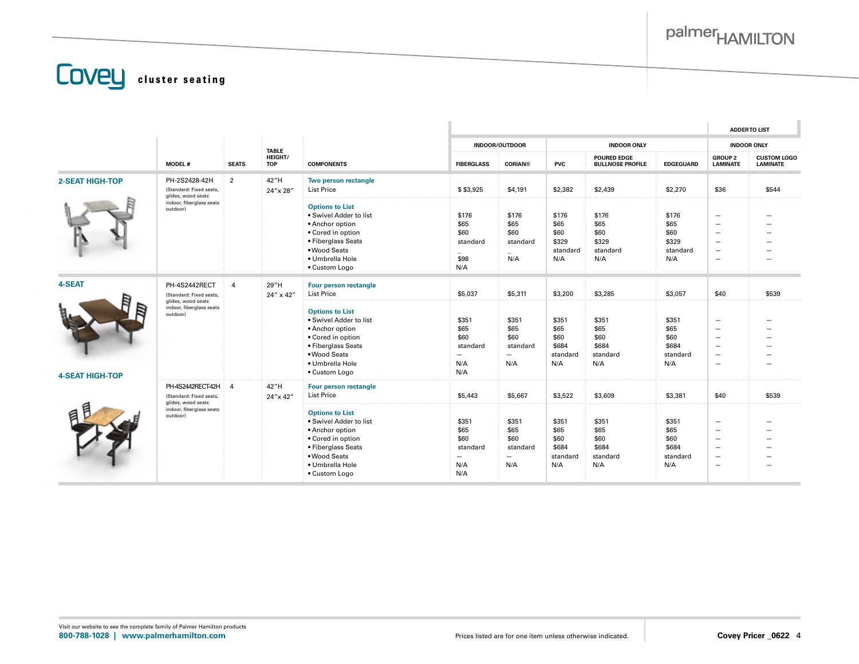**COVEL** cluster seating

|                        |                                                                                                        |                                                                                                                                                                                                                                             |                                                                             | <b>COMPONENTS</b>                                                                                                                                                  |                                                   |                                                                      |                                                   |                                                                                                                                                               |                                                   |                                                                                                                                                                      | <b>ADDERTO LIST</b>                   |
|------------------------|--------------------------------------------------------------------------------------------------------|---------------------------------------------------------------------------------------------------------------------------------------------------------------------------------------------------------------------------------------------|-----------------------------------------------------------------------------|--------------------------------------------------------------------------------------------------------------------------------------------------------------------|---------------------------------------------------|----------------------------------------------------------------------|---------------------------------------------------|---------------------------------------------------------------------------------------------------------------------------------------------------------------|---------------------------------------------------|----------------------------------------------------------------------------------------------------------------------------------------------------------------------|---------------------------------------|
|                        |                                                                                                        |                                                                                                                                                                                                                                             |                                                                             |                                                                                                                                                                    |                                                   | <b>INDOOR/OUTDOOR</b>                                                |                                                   | <b>INDOOR ONLY</b>                                                                                                                                            |                                                   |                                                                                                                                                                      | <b>INDOOR ONLY</b>                    |
|                        | <b>MODEL#</b>                                                                                          | <b>SEATS</b>                                                                                                                                                                                                                                | <b>TABLE</b><br>HEIGHT/<br><b>TOP</b>                                       |                                                                                                                                                                    | <b>FIBERGLASS</b>                                 | <b>CORIAN®</b>                                                       | <b>PVC</b>                                        | <b>POURED EDGE</b><br><b>BULLNOSE PROFILE</b>                                                                                                                 | <b>EDGEGUARD</b>                                  | <b>GROUP 2</b><br><b>LAMINATE</b>                                                                                                                                    | <b>CUSTOM LOGO</b><br><b>LAMINATE</b> |
| <b>2-SEAT HIGH-TOP</b> | PH-2S2428-42H<br>(Standard: Fixed seats,<br>glides, wood seats<br>indoor, fiberglass seats<br>outdoor) | $\overline{2}$                                                                                                                                                                                                                              | 42"H<br>24" x 28"                                                           | Two person rectangle<br><b>List Price</b>                                                                                                                          | \$\$3,925                                         | \$4,191                                                              | \$2,382                                           | \$2,439                                                                                                                                                       | \$2,270                                           | \$36                                                                                                                                                                 | \$544                                 |
|                        |                                                                                                        |                                                                                                                                                                                                                                             |                                                                             | <b>Options to List</b><br>. Swivel Adder to list<br>• Anchor option<br>• Cored in option<br>• Fiberglass Seats<br>• Wood Seats<br>· Umbrella Hole<br>• Custom Logo | \$176<br>\$65<br>\$60<br>standard<br>\$98<br>N/A  | \$176<br>\$65<br>\$60<br>standard<br>N/A                             | \$176<br>\$65<br>\$60<br>\$329<br>standard<br>N/A | \$176<br>\$65<br>\$60<br>\$329<br>standard<br>N/A                                                                                                             | \$176<br>\$65<br>\$60<br>\$329<br>standard<br>N/A | $\overline{\phantom{a}}$<br>$\overline{\phantom{0}}$<br>$\overline{\phantom{0}}$<br>$\overline{\phantom{m}}$<br>$\overline{\phantom{0}}$<br>$\overline{\phantom{m}}$ |                                       |
| 4-SEAT                 | PH-4S2442RECT<br>(Standard: Fixed seats,                                                               | $\overline{a}$                                                                                                                                                                                                                              | 29"H<br>24" x 42"                                                           | Four person rectangle<br><b>List Price</b>                                                                                                                         | \$5,037                                           | \$5,311                                                              | \$3,200                                           | \$3,285                                                                                                                                                       | \$3,057                                           | \$40                                                                                                                                                                 | \$539                                 |
| <b>4-SEAT HIGH-TOP</b> | glides, wood seats<br>indoor, fiberglass seats<br>outdoor)                                             |                                                                                                                                                                                                                                             |                                                                             | <b>Options to List</b><br>. Swivel Adder to list<br>• Anchor option<br>• Cored in option<br>• Fiberglass Seats<br>• Wood Seats<br>· Umbrella Hole<br>• Custom Logo | \$351<br>\$65<br>\$60<br>standard<br>N/A<br>N/A   | \$351<br>\$65<br>\$60<br>standard<br>$\overline{\phantom{0}}$<br>N/A | \$351<br>\$65<br>\$60<br>\$684<br>standard<br>N/A | \$351<br>\$65<br>\$60<br>\$684<br>standard<br>N/A                                                                                                             | \$351<br>\$65<br>\$60<br>\$684<br>standard<br>N/A | $\overline{\phantom{0}}$<br>$\overline{\phantom{m}}$<br>$\overline{\phantom{0}}$<br>$\overline{\phantom{0}}$<br>$\overline{\phantom{0}}$<br>$\sim$                   |                                       |
|                        | PH-4S2442RECT-42H<br>(Standard: Fixed seats,                                                           | 42"H<br>Four person rectangle<br>-4<br><b>List Price</b><br>24" x 42"<br><b>Options to List</b><br>· Swivel Adder to list<br>• Anchor option<br>• Cored in option<br>• Fiberglass Seats<br>• Wood Seats<br>· Umbrella Hole<br>• Custom Logo |                                                                             |                                                                                                                                                                    | \$5,443                                           | \$5.667                                                              | \$3,522                                           | \$3,609                                                                                                                                                       | \$3,381                                           | \$40                                                                                                                                                                 | \$539                                 |
|                        | glides, wood seats<br>indoor, fiberglass seats<br>outdoor)                                             |                                                                                                                                                                                                                                             | \$351<br>\$65<br>\$60<br>standard<br>$\overline{\phantom{0}}$<br>N/A<br>N/A | \$351<br>\$65<br>\$60<br>standard<br>—<br>N/A                                                                                                                      | \$351<br>\$65<br>\$60<br>\$684<br>standard<br>N/A | \$351<br>\$65<br>\$60<br>\$684<br>standard<br>N/A                    | \$351<br>\$65<br>\$60<br>\$684<br>standard<br>N/A | $\overline{\phantom{m}}$<br>$\overline{\phantom{0}}$<br>$\qquad \qquad -$<br>$\overline{\phantom{m}}$<br>$\overline{\phantom{0}}$<br>$\overline{\phantom{0}}$ |                                                   |                                                                                                                                                                      |                                       |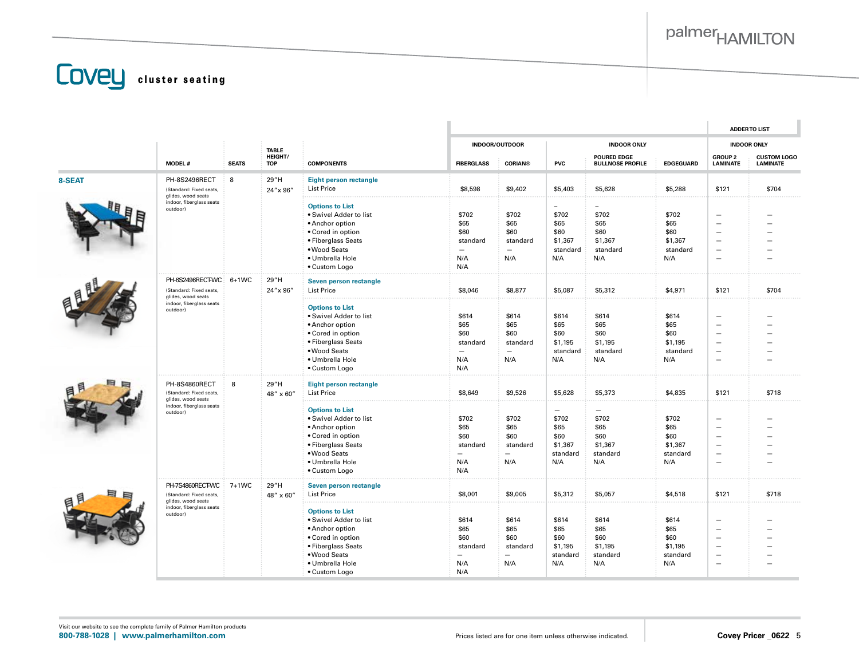**COVEL** cluster seating

|        |                                                                         |              |                         |                                                                                                                                                                    |                                                 |                                                                      |                                                                                 |                                                                                 |                                                            |                                                                                                                                                                      | <b>ADDERTO LIST</b> |
|--------|-------------------------------------------------------------------------|--------------|-------------------------|--------------------------------------------------------------------------------------------------------------------------------------------------------------------|-------------------------------------------------|----------------------------------------------------------------------|---------------------------------------------------------------------------------|---------------------------------------------------------------------------------|------------------------------------------------------------|----------------------------------------------------------------------------------------------------------------------------------------------------------------------|---------------------|
|        |                                                                         |              | <b>TABLE</b><br>HEIGHT/ |                                                                                                                                                                    | INDOOR/OUTDOOR                                  |                                                                      | <b>INDOOR ONLY</b><br><b>POURED EDGE</b>                                        |                                                                                 | <b>INDOOR ONLY</b><br><b>GROUP 2</b><br><b>CUSTOM LOGO</b> |                                                                                                                                                                      |                     |
|        | <b>MODEL#</b>                                                           | <b>SEATS</b> | <b>TOP</b>              | <b>COMPONENTS</b>                                                                                                                                                  | <b>FIBERGLASS</b>                               | <b>CORIAN®</b>                                                       | <b>PVC</b>                                                                      | <b>BULLNOSE PROFILE</b>                                                         | <b>EDGEGUARD</b>                                           | <b>LAMINATE</b>                                                                                                                                                      | <b>LAMINATE</b>     |
| 8-SEAT | PH-8S2496RECT<br>(Standard: Fixed seats,<br>glides, wood seats          | 8            | 29"H<br>24" x 96"       | <b>Eight person rectangle</b><br><b>List Price</b>                                                                                                                 | \$8,598                                         | \$9,402                                                              | \$5,403                                                                         | \$5,628                                                                         | \$5,288                                                    | \$121                                                                                                                                                                | \$704               |
|        | indoor, fiberglass seats<br>outdoor)                                    |              |                         | <b>Options to List</b><br>· Swivel Adder to list<br>• Anchor option<br>• Cored in option<br>• Fiberglass Seats<br>• Wood Seats<br>· Umbrella Hole<br>• Custom Logo | \$702<br>\$65<br>\$60<br>standard<br>N/A<br>N/A | \$702<br>\$65<br>\$60<br>standard<br>N/A                             | $\overline{\phantom{0}}$<br>\$702<br>\$65<br>\$60<br>\$1,367<br>standard<br>N/A | \$702<br>\$65<br>\$60<br>\$1,367<br>standard<br>N/A                             | \$702<br>\$65<br>\$60<br>\$1,367<br>standard<br>N/A        | $\overline{\phantom{a}}$<br>$\overline{\phantom{0}}$<br>$\overline{\phantom{a}}$<br>$\overline{\phantom{m}}$<br>$\overline{\phantom{a}}$<br>$\overline{\phantom{0}}$ |                     |
|        | PH-6S2496RECT-WC 6+1WC<br>(Standard: Fixed seats,<br>glides, wood seats |              | 29"H<br>24" x 96"       | Seven person rectangle<br><b>List Price</b>                                                                                                                        | \$8,046                                         | \$8,877                                                              | \$5,087                                                                         | \$5,312                                                                         | \$4,971                                                    | \$121                                                                                                                                                                | \$704               |
|        | indoor, fiberglass seats<br>outdoor)                                    |              |                         | <b>Options to List</b><br>· Swivel Adder to list<br>• Anchor option<br>• Cored in option<br>• Fiberglass Seats<br>• Wood Seats<br>· Umbrella Hole<br>• Custom Logo | \$614<br>\$65<br>\$60<br>standard<br>N/A<br>N/A | \$614<br>\$65<br>\$60<br>standard<br>$\overline{\phantom{0}}$<br>N/A | \$614<br>\$65<br>\$60<br>\$1,195<br>standard<br>N/A                             | \$614<br>\$65<br>\$60<br>\$1,195<br>standard<br>N/A                             | \$614<br>\$65<br>\$60<br>\$1,195<br>standard<br>N/A        | $\overline{\phantom{a}}$<br>$\overline{\phantom{a}}$<br>$\overline{\phantom{a}}$<br>$\overline{\phantom{a}}$<br>$\overline{\phantom{0}}$<br>$\overline{\phantom{a}}$ |                     |
|        | PH-8S4860RECT<br>(Standard: Fixed seats,<br>glides, wood seats          | 8            | 29"H<br>48" x 60"       | <b>Eight person rectangle</b><br><b>List Price</b>                                                                                                                 | \$8,649                                         | \$9,526                                                              | \$5,628                                                                         | \$5,373                                                                         | \$4,835                                                    | \$121                                                                                                                                                                | \$718               |
|        | indoor, fiberglass seats<br>outdoor)                                    |              |                         | <b>Options to List</b><br>· Swivel Adder to list<br>• Anchor option<br>• Cored in option<br>• Fiberglass Seats<br>• Wood Seats<br>· Umbrella Hole<br>• Custom Logo | \$702<br>\$65<br>\$60<br>standard<br>N/A<br>N/A | \$702<br>\$65<br>\$60<br>standard<br>$\frac{1}{2}$<br>N/A            | $=$<br>\$702<br>\$65<br>\$60<br>\$1,367<br>standard<br>N/A                      | $\overline{\phantom{0}}$<br>\$702<br>\$65<br>\$60<br>\$1,367<br>standard<br>N/A | \$702<br>\$65<br>\$60<br>\$1,367<br>standard<br>N/A        | $\overline{\phantom{a}}$<br>$\overline{\phantom{0}}$<br>$\overline{\phantom{0}}$<br>$\overline{\phantom{a}}$<br>$\overline{\phantom{m}}$<br>$\overline{\phantom{a}}$ |                     |
|        | PH-7S4860RECT-WC<br>(Standard: Fixed seats,<br>glides, wood seats       | 7+1WC        | 29"H<br>48" x 60"       | Seven person rectangle<br><b>List Price</b>                                                                                                                        | \$8,001                                         | \$9,005                                                              | \$5,312                                                                         | \$5,057                                                                         | \$4,518                                                    | \$121                                                                                                                                                                | \$718               |
|        | indoor, fiberglass seats<br>outdoor)                                    |              |                         | <b>Options to List</b><br>· Swivel Adder to list<br>• Anchor option<br>• Cored in option<br>• Fiberglass Seats<br>· Wood Seats<br>· Umbrella Hole<br>• Custom Logo | \$614<br>\$65<br>\$60<br>standard<br>N/A<br>N/A | \$614<br>\$65<br>\$60<br>standard<br>$\overline{\phantom{0}}$<br>N/A | \$614<br>\$65<br>\$60<br>\$1,195<br>standard<br>N/A                             | \$614<br>\$65<br>\$60<br>\$1,195<br>standard<br>N/A                             | \$614<br>\$65<br>\$60<br>\$1,195<br>standard<br>N/A        | $\overline{\phantom{0}}$<br>$\sim$<br>$\overline{\phantom{a}}$<br>$\overline{\phantom{0}}$<br>$\overline{\phantom{m}}$                                               |                     |